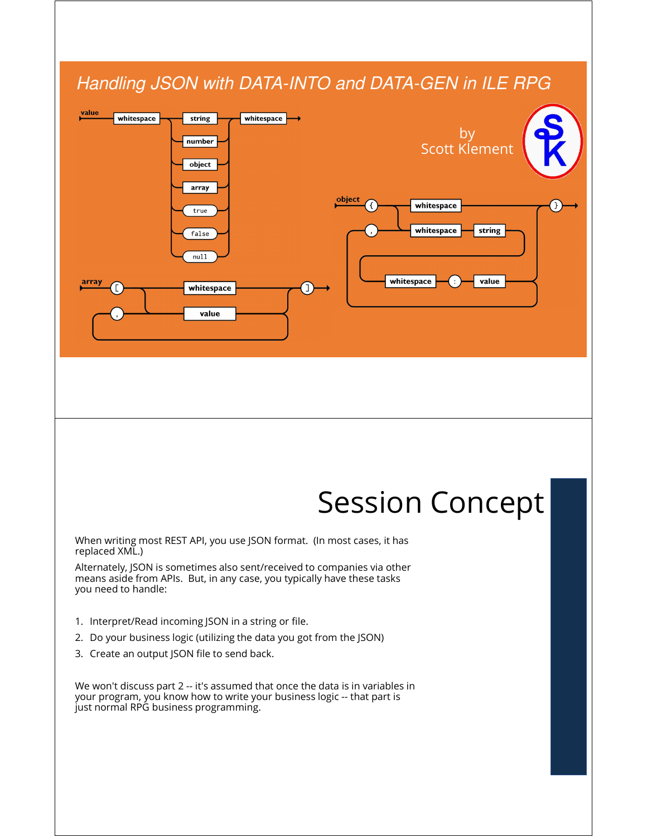### *Handling JSON with DATA-INTO and DATA-GEN in ILE RPG*



# Session Concept

When writing most REST API, you use JSON format. (In most cases, it has replaced XML.)

Alternately, JSON is sometimes also sent/received to companies via other means aside from APIs. But, in any case, you typically have these tasks you need to handle:

- 1. Interpret/Read incoming JSON in a string or file.
- 2. Do your business logic (utilizing the data you got from the JSON)
- 3. Create an output JSON file to send back.

We won't discuss part 2 -- it's assumed that once the data is in variables in your program, you know how to write your business logic -- that part is just normal RPG business programming.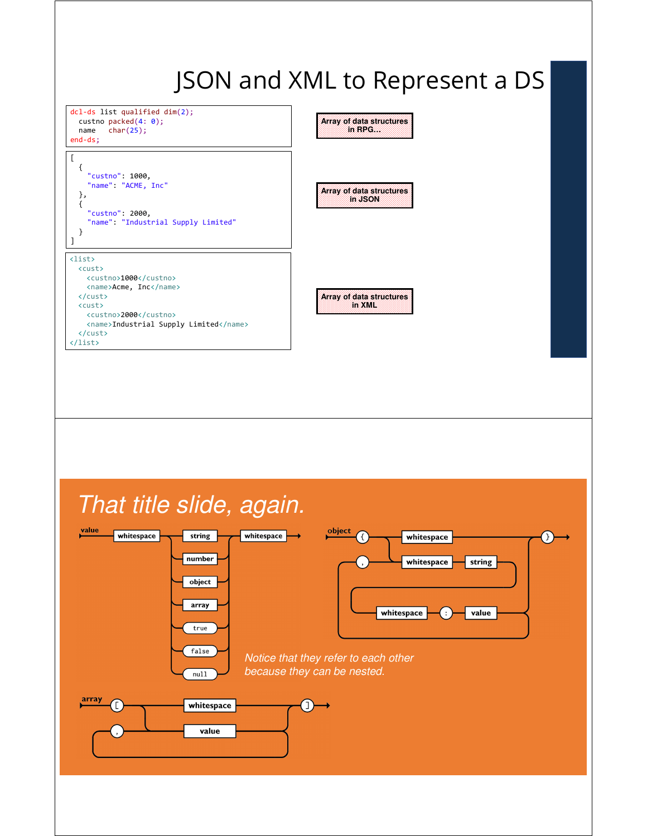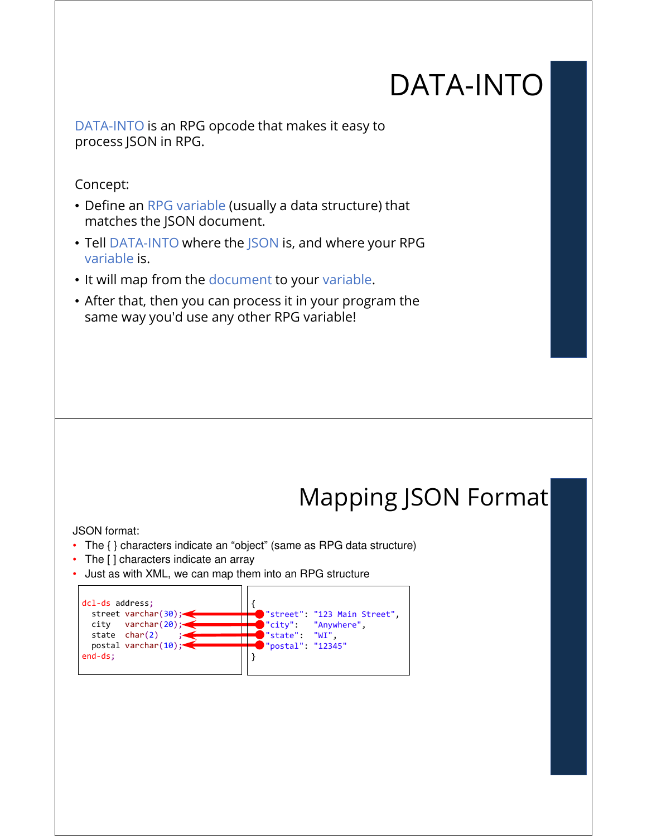# DATA-INTO

DATA-INTO is an RPG opcode that makes it easy to process JSON in RPG.

Concept:

- Define an RPG variable (usually a data structure) that matches the JSON document.
- Tell DATA-INTO where the JSON is, and where your RPG variable is.
- It will map from the document to your variable.
- After that, then you can process it in your program the same way you'd use any other RPG variable!

# Mapping JSON Format

JSON format:

- The { } characters indicate an "object" (same as RPG data structure)
- The [ ] characters indicate an array
- Just as with XML, we can map them into an RPG structure

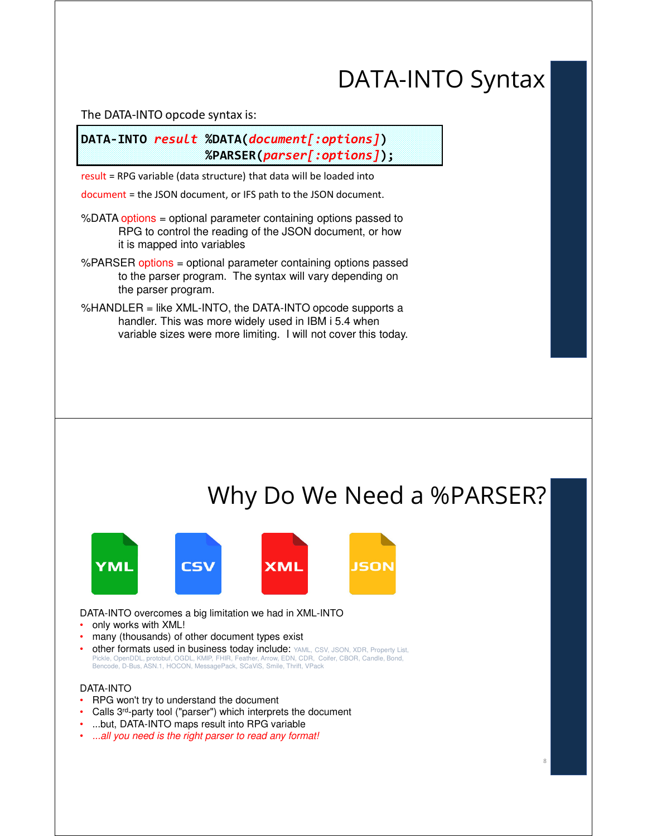### DATA-INTO Syntax

The DATA-INTO opcode syntax is:

**DATA-INTO** *result* **%DATA(***document[:options]***) %PARSER(***parser[:options]***);**

result = RPG variable (data structure) that data will be loaded into

document = the JSON document, or IFS path to the JSON document.

%DATA options = optional parameter containing options passed to RPG to control the reading of the JSON document, or how it is mapped into variables

%PARSER options = optional parameter containing options passed to the parser program. The syntax will vary depending on the parser program.

%HANDLER = like XML-INTO, the DATA-INTO opcode supports a handler. This was more widely used in IBM i 5.4 when variable sizes were more limiting. I will not cover this today.

### Why Do We Need a %PARSER?

8



DATA-INTO overcomes a big limitation we had in XML-INTO

- only works with XML!
- many (thousands) of other document types exist
- other formats used in business today include: YAML, CSV, JSON, XDR, Property List, Pickle, OpenDDL, protobuf, OGDL, KMIP, FHIR, Feather, Arrow, EDN, CDR, Coifer, CBOR, Candle, Bond, Bencode, D-Bus, ASN.1, HOCON, MessagePack, SCaViS, Smile, Thrift, VPack

#### DATA-INTO

- RPG won't try to understand the document
- Calls 3rd-party tool ("parser") which interprets the document
- ...but, DATA-INTO maps result into RPG variable
- *...all you need is the right parser to read any format!*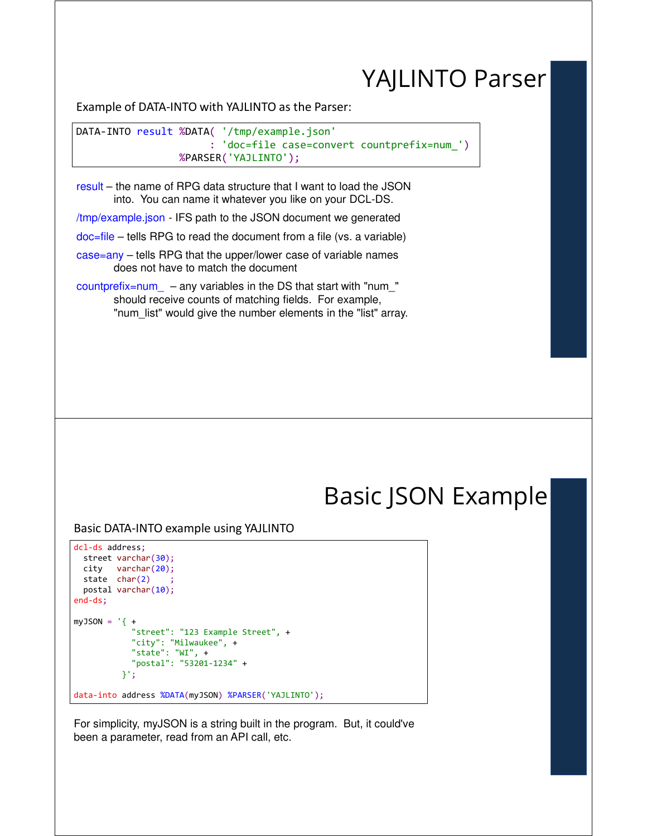### YAJLINTO Parser

Example of DATA-INTO with YAJLINTO as the Parser:

DATA-INTO result %DATA( '/tmp/example.json' : 'doc=file case=convert countprefix=num\_') %PARSER('YAJLINTO');

result – the name of RPG data structure that I want to load the JSON into. You can name it whatever you like on your DCL-DS.

/tmp/example.json - IFS path to the JSON document we generated

doc=file – tells RPG to read the document from a file (vs. a variable)

case=any – tells RPG that the upper/lower case of variable names does not have to match the document

countprefix=num – any variables in the DS that start with "num  $"$ should receive counts of matching fields. For example, "num\_list" would give the number elements in the "list" array.

### Basic JSON Example

Basic DATA-INTO example using YAJLINTO

```
dcl-ds address;
 street varchar(30);
 city varchar(20);
 state char(2)postal varchar(10);
end-ds;
myJSON = ' { +}"street": "123 Example Street", +
            "city": "Milwaukee", +
            "state": "WI", +
            "postal": "53201-1234" +
         }';
data-into address %DATA(myJSON) %PARSER('YAJLINTO');
```
For simplicity, myJSON is a string built in the program. But, it could've been a parameter, read from an API call, etc.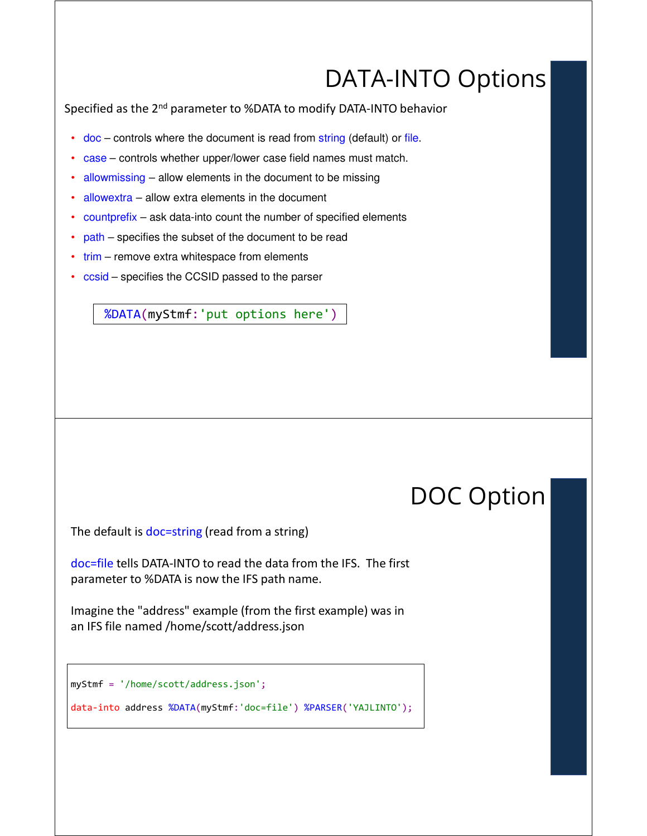### DATA-INTO Options

Specified as the 2<sup>nd</sup> parameter to %DATA to modify DATA-INTO behavior

- doc controls where the document is read from string (default) or file.
- case controls whether upper/lower case field names must match.
- allowmissing allow elements in the document to be missing
- allowextra allow extra elements in the document
- countprefix ask data-into count the number of specified elements
- path specifies the subset of the document to be read
- trim remove extra whitespace from elements
- ccsid specifies the CCSID passed to the parser

%DATA(myStmf:'put options here')

### DOC Option

The default is doc=string (read from a string)

doc=file tells DATA-INTO to read the data from the IFS. The first parameter to %DATA is now the IFS path name.

Imagine the "address" example (from the first example) was in an IFS file named /home/scott/address.json

```
myStmf = '/home/scott/address.json';
```
data-into address %DATA(myStmf:'doc=file') %PARSER('YAJLINTO');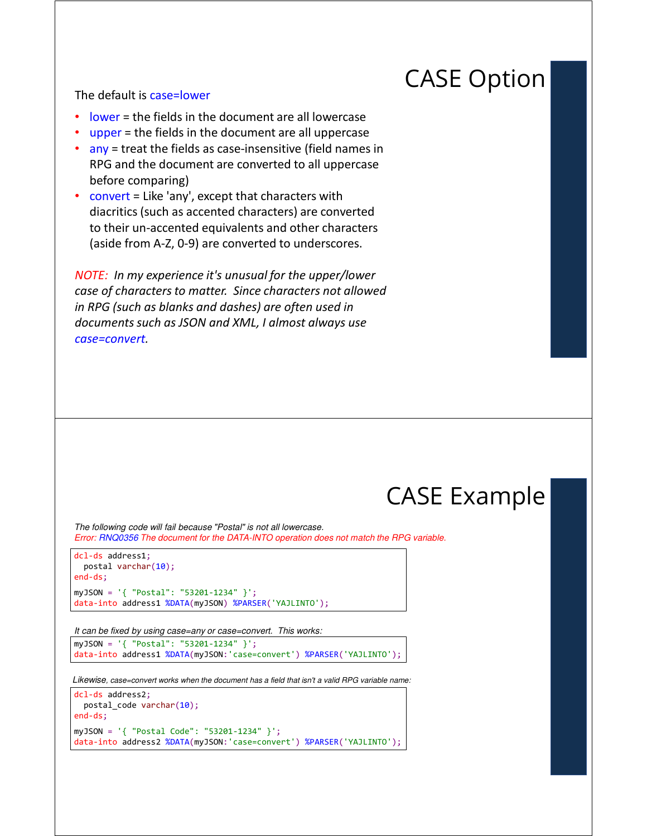### CASE Option

#### The default is case=lower

- lower = the fields in the document are all lowercase
- upper = the fields in the document are all uppercase
- any = treat the fields as case-insensitive (field names in RPG and the document are converted to all uppercase before comparing)
- convert = Like 'any', except that characters with diacritics (such as accented characters) are converted to their un-accented equivalents and other characters (aside from A-Z, 0-9) are converted to underscores.

*NOTE: In my experience it's unusual for the upper/lower case of characters to matter. Since characters not allowed in RPG (such as blanks and dashes) are often used in documents such as JSON and XML, I almost always use case=convert.* 

### CASE Example

*The following code will fail because "Postal" is not all lowercase. Error: RNQ0356 The document for the DATA-INTO operation does not match the RPG variable.*

```
dcl-ds address1;
 postal varchar(10);
end-ds;
myJSON = '{ "Postal": "53201-1234" }';
data-into address1 %DATA(myJSON) %PARSER('YAJLINTO');
```
*It can be fixed by using case=any or case=convert. This works:*

myJSON = '{ "Postal": "53201-1234" }'; data-into address1 %DATA(myJSON:'case=convert') %PARSER('YAJLINTO');

*Likewise, case=convert works when the document has a field that isn't a valid RPG variable name:*

```
dcl-ds address2;
 postal code varchar(10);
end-ds;
myJSON = '{ "Postal Code": "53201-1234" }';
data-into address2 %DATA(myJSON:'case=convert') %PARSER('YAJLINTO');
```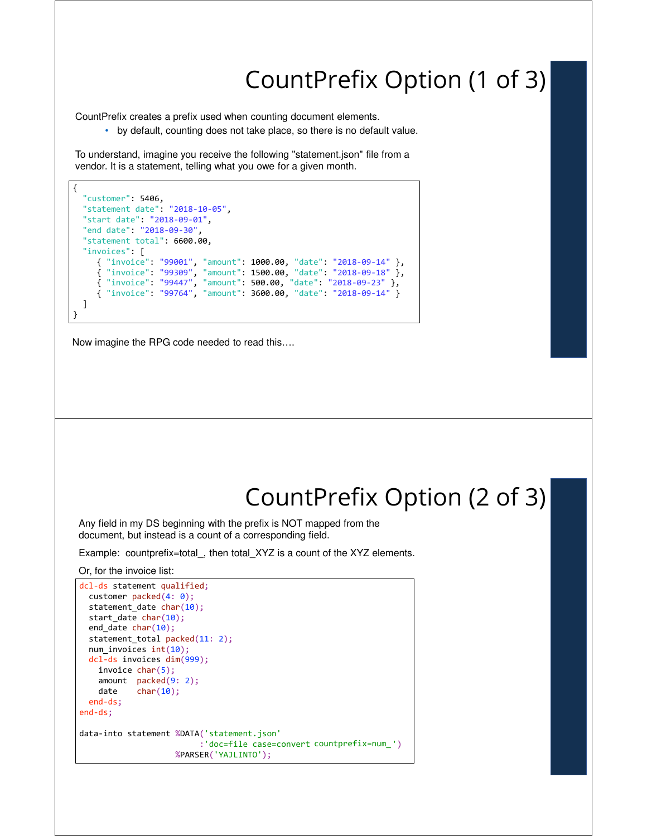### CountPrefix Option (1 of 3)

CountPrefix creates a prefix used when counting document elements.

• by default, counting does not take place, so there is no default value.

To understand, imagine you receive the following "statement.json" file from a vendor. It is a statement, telling what you owe for a given month.

```
{
  "customer": 5406,
  "statement date": "2018-10-05",
  "start date": "2018-09-01",
  "end date": "2018-09-30",
  "statement total": 6600.00,
  "invoices": [
     { "invoice": "99001", "amount": 1000.00, "date": "2018-09-14" },
     { "invoice": "99309", "amount": 1500.00, "date": "2018-09-18" },
     { "invoice": "99447", "amount": 500.00, "date": "2018-09-23" },
     { "invoice": "99764", "amount": 3600.00, "date": "2018-09-14" }
  ]
}
```
Now imagine the RPG code needed to read this….

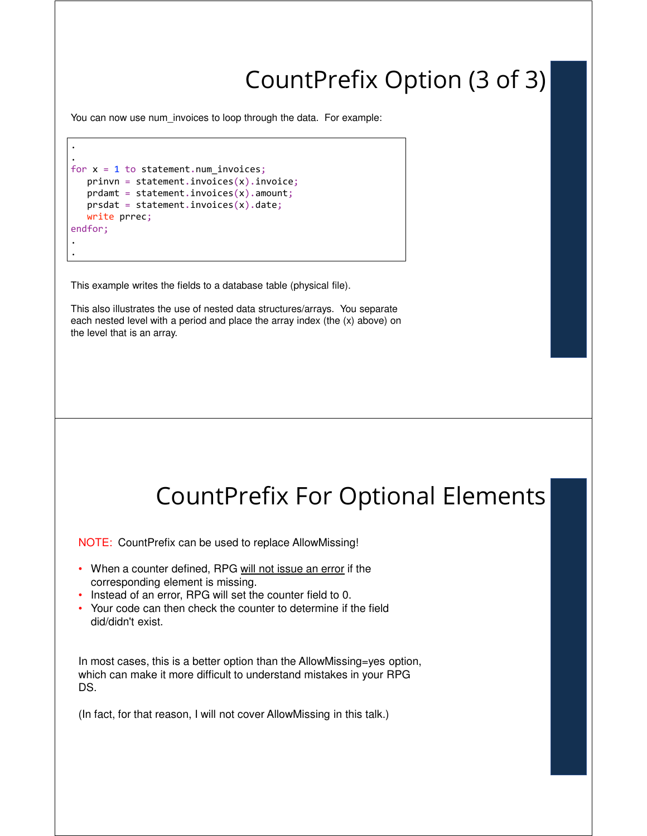### CountPrefix Option (3 of 3)

You can now use num invoices to loop through the data. For example:

```
.
.
for x = 1 to statement.num_invoices;
  prinvn = statement.invoices(x).invoice;prdamt = statement.invoices(x).amount;
  prsdat = statement.invoices(x).date;write prrec;
endfor;
.
.
```
This example writes the fields to a database table (physical file).

This also illustrates the use of nested data structures/arrays. You separate each nested level with a period and place the array index (the (x) above) on the level that is an array.



NOTE: CountPrefix can be used to replace AllowMissing!

- When a counter defined, RPG will not issue an error if the corresponding element is missing.
- Instead of an error, RPG will set the counter field to 0.
- Your code can then check the counter to determine if the field did/didn't exist.

In most cases, this is a better option than the AllowMissing=yes option, which can make it more difficult to understand mistakes in your RPG DS.

(In fact, for that reason, I will not cover AllowMissing in this talk.)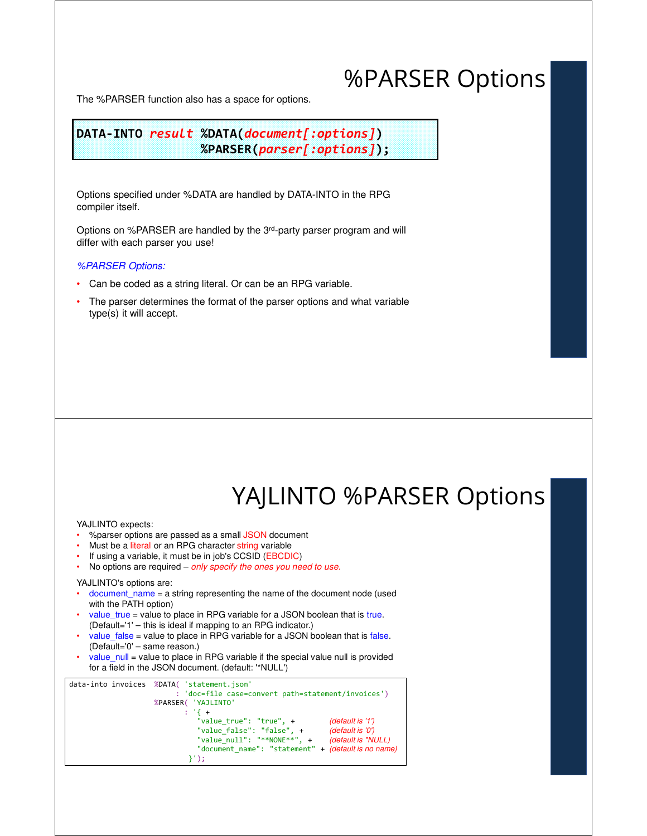### %PARSER Options

The %PARSER function also has a space for options.

**DATA-INTO** *result* **%DATA(***document[:options]***) %PARSER(***parser[:options]***);**

Options specified under %DATA are handled by DATA-INTO in the RPG compiler itself.

Options on %PARSER are handled by the 3rd-party parser program and will differ with each parser you use!

#### *%PARSER Options:*

- Can be coded as a string literal. Or can be an RPG variable.
- The parser determines the format of the parser options and what variable type(s) it will accept.

### YAJLINTO %PARSER Options

YAJLINTO expects:

- % parser options are passed as a small JSON document
- Must be a literal or an RPG character string variable
- If using a variable, it must be in job's CCSID (EBCDIC)
- No options are required *only specify the ones you need to use.*

#### YAJLINTO's options are:

- document\_name = a string representing the name of the document node (used with the PATH option)
- value\_true = value to place in RPG variable for a JSON boolean that is true. (Default='1' – this is ideal if mapping to an RPG indicator.)
- value  $false$  = value to place in RPG variable for a JSON boolean that is false. (Default='0' – same reason.)
- value\_null = value to place in RPG variable if the special value null is provided for a field in the JSON document. (default: '\*NULL')

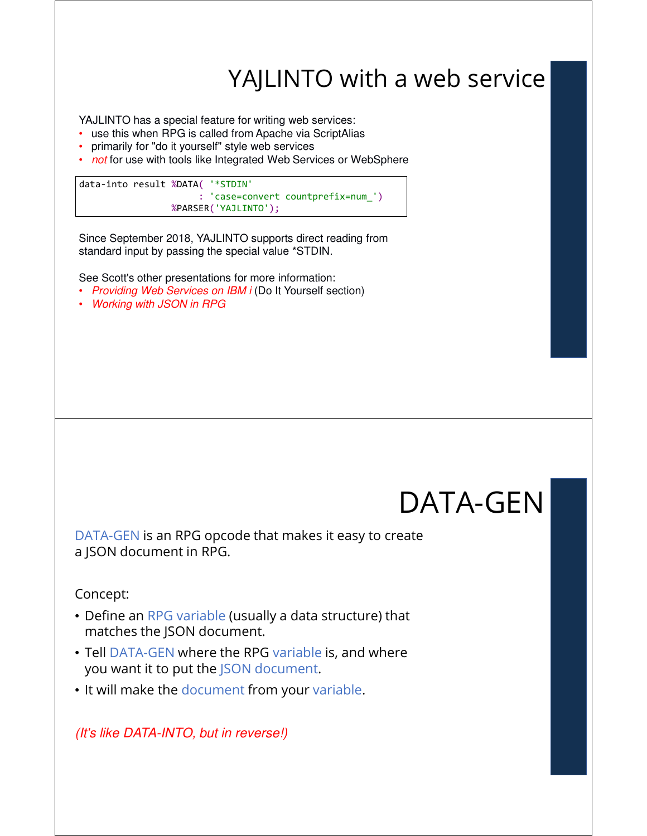### YAJLINTO with a web service

YAJLINTO has a special feature for writing web services:

- use this when RPG is called from Apache via ScriptAlias
- primarily for "do it yourself" style web services
- *not* for use with tools like Integrated Web Services or WebSphere

data-into result %DATA( '\*STDIN' : 'case=convert countprefix=num\_') %PARSER('YAJLINTO');

Since September 2018, YAJLINTO supports direct reading from standard input by passing the special value \*STDIN.

See Scott's other presentations for more information:

- *Providing Web Services on IBM i* (Do It Yourself section)
- *Working with JSON in RPG*

# DATA-GEN

DATA-GEN is an RPG opcode that makes it easy to create a JSON document in RPG.

Concept:

- Define an RPG variable (usually a data structure) that matches the JSON document.
- Tell DATA-GEN where the RPG variable is, and where you want it to put the JSON document.
- It will make the document from your variable.

*(It's like DATA-INTO, but in reverse!)*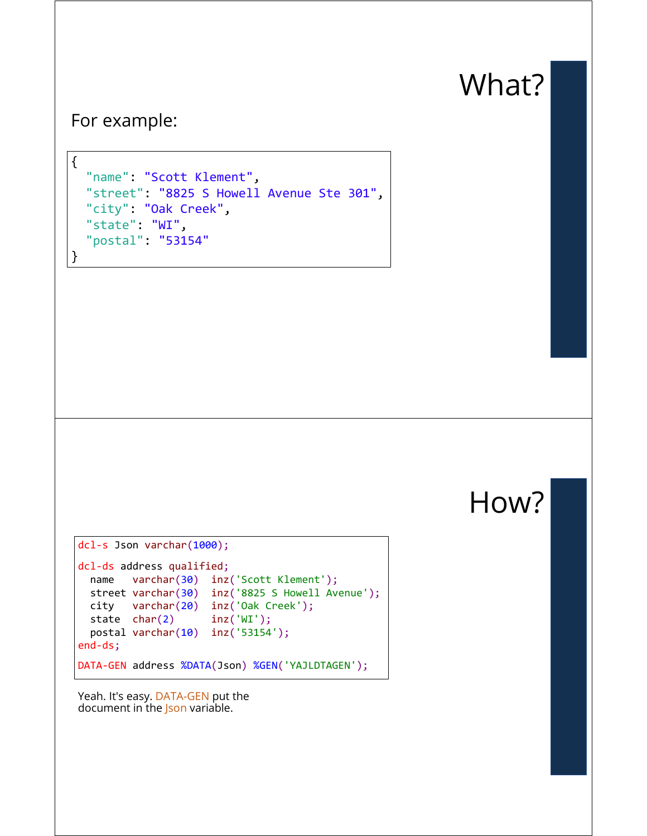# What?

#### For example:

```
{
  "name": "Scott Klement",
  "street": "8825 S Howell Avenue Ste 301",
  "city": "Oak Creek",
  "state": "WI",
  "postal": "53154"
}
```
How?

```
dcl-s Json varchar(1000);
dcl-ds address qualified;
 name varchar(30) inz('Scott Klement');
 street varchar(30) inz('8825 S Howell Avenue');
 city varchar(20) inz('Oak Creek');
 state char(2) inz('WI');
 postal varchar(10) inz('53154');
end-ds;
DATA-GEN address %DATA(Json) %GEN('YAJLDTAGEN');
```
Yeah. It's easy. DATA-GEN put the document in the Json variable.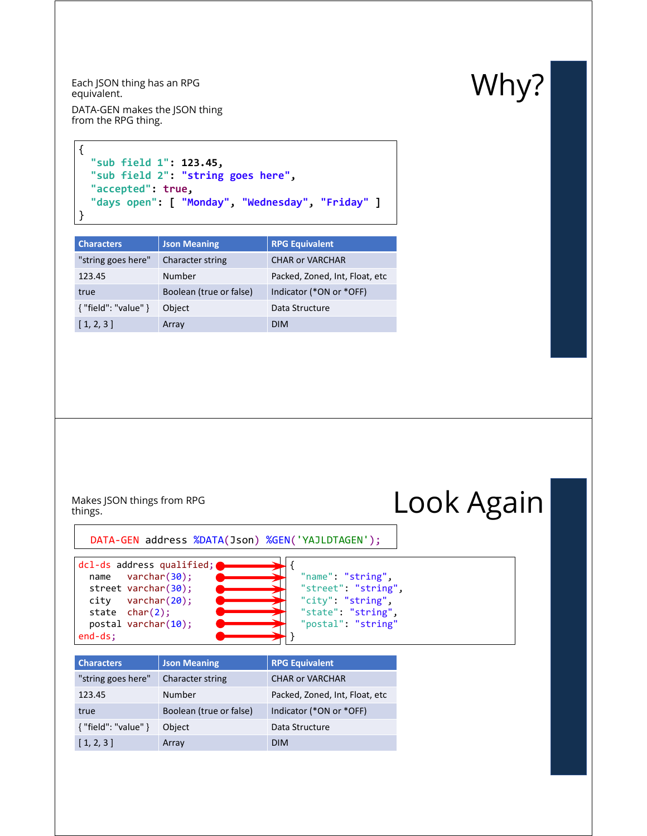Each JSON thing has an RPG<br>equivalent. equivalent.

DATA-GEN makes the JSON thing from the RPG thing.

```
{
  "sub field 1": 123.45,
  "sub field 2": "string goes here",
  "accepted": true,
  "days open": [ "Monday", "Wednesday", "Friday" ]
}
```

| <b>Characters</b>      | <b>Json Meaning</b>     | <b>RPG Equivalent</b>          |
|------------------------|-------------------------|--------------------------------|
| "string goes here"     | <b>Character string</b> | <b>CHAR or VARCHAR</b>         |
| 123.45                 | Number                  | Packed, Zoned, Int, Float, etc |
| true                   | Boolean (true or false) | Indicator (*ON or *OFF)        |
| ${$ "field": "value" } | Object                  | Data Structure                 |
| [1, 2, 3]              | Array                   | <b>DIM</b>                     |

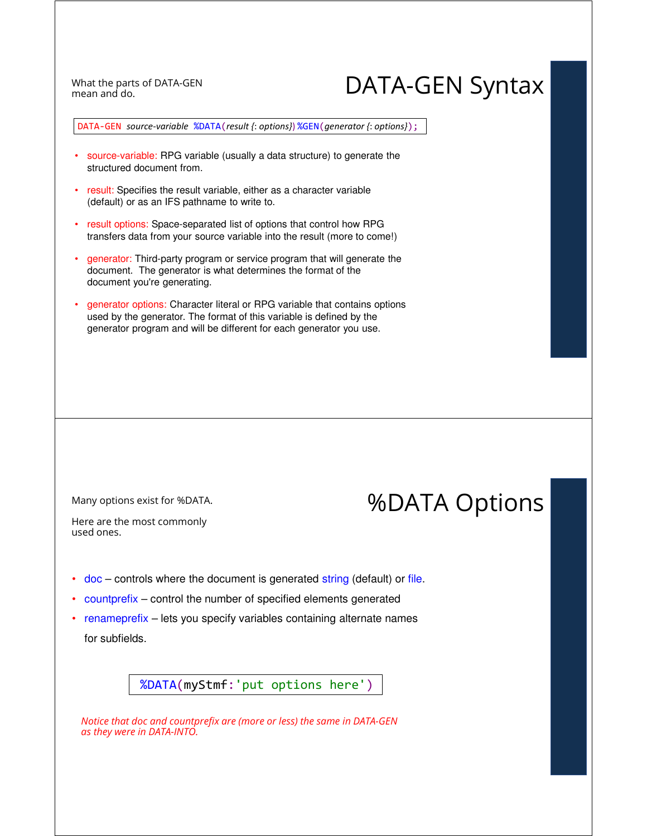mean and do.

### What the parts of DATA-GEN Syntax mean and do.

DATA-GEN *source-variable* %DATA(*result {*: *options}*) %GEN(*generator {*: *options}*);

- source-variable: RPG variable (usually a data structure) to generate the structured document from.
- result: Specifies the result variable, either as a character variable (default) or as an IFS pathname to write to.
- result options: Space-separated list of options that control how RPG transfers data from your source variable into the result (more to come!)
- generator: Third-party program or service program that will generate the document. The generator is what determines the format of the document you're generating.
- generator options: Character literal or RPG variable that contains options used by the generator. The format of this variable is defined by the generator program and will be different for each generator you use.

Many options exist for %DATA.  $%$  Many options exist for %DATA Options

Here are the most commonly used ones.

- doc controls where the document is generated string (default) or file.
- countprefix control the number of specified elements generated
- renameprefix lets you specify variables containing alternate names for subfields.

%DATA(myStmf:'put options here')

*Notice that doc and countprefix are (more or less) the same in DATA-GEN as they were in DATA-INTO.*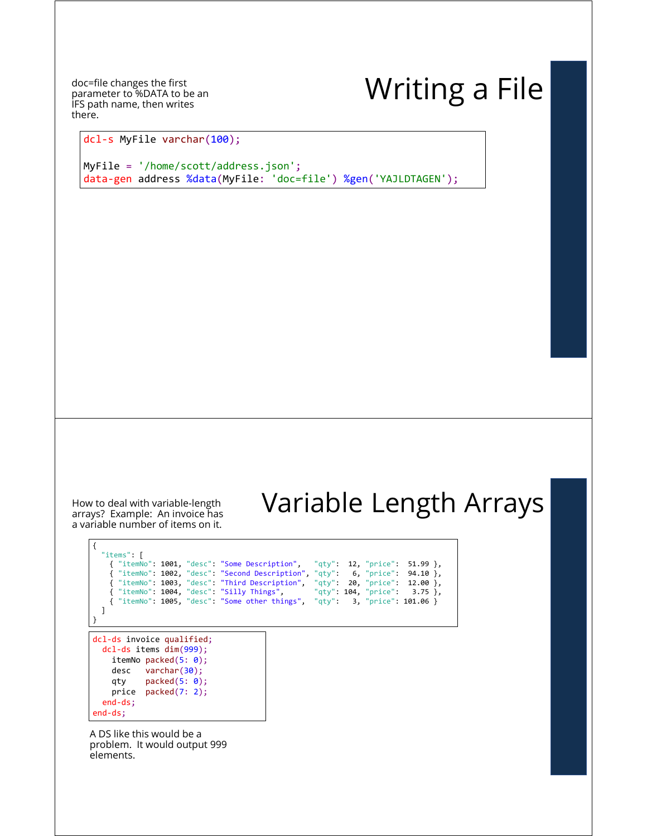doc=file changes the first parameter to %DATA to be an IFS path name, then writes there.

# Writing a File

dcl-s MyFile varchar(100);

MyFile = '/home/scott/address.json'; data-gen address %data(MyFile: 'doc=file') %gen('YAJLDTAGEN');

How to deal with variable-length<br>arrays? Example: An invoice has a variable number of items on it.

## Variable Length Arrays

dcl-ds invoice qualified; dcl-ds items dim(999); itemNo packed(5: 0); desc varchar(30); qty packed(5: 0); price packed(7: 2); end-ds; end-ds; { "items": [ { "itemNo": 1001, "desc": "Some Description", "qty": 12, "price": 51.99 }, { "itemNo": 1002, "desc": "Second Description", "qty": 6, "price": 94.10 }, { "itemNo": 1003, "desc": "Third Description", "qty": 20, "price": 12.00 }, { "itemNo": 1004, "desc": "Silly Things", "qty": 104, "price": 3.75 }, { "itemNo": 1005, "desc": "Some other things", "qty": 3, "price": 101.06 } ] }

A DS like this would be a problem. It would output 999 elements.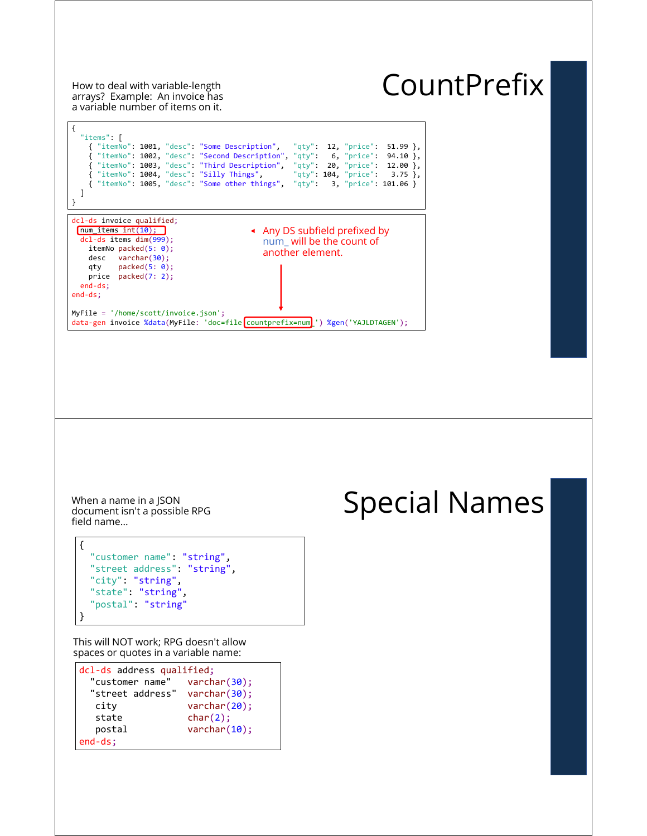How to deal with variable-length<br>arrays? Example: An invoice has a variable number of items on it.

# **CountPrefix**



document isn't a possible RPG field name…

```
{
  "customer name": "string",
  "street address": "string",
  "city": "string",
  "state": "string",
  "postal": "string"
}
```
This will NOT work; RPG doesn't allow spaces or quotes in a variable name:

| dcl-ds address qualified; |                  |  |
|---------------------------|------------------|--|
| "customer name"           | varchar(30);     |  |
| "street address"          | varchar $(30)$ ; |  |
| city                      | varchar(20);     |  |
| state                     | char(2);         |  |
| postal                    | varchar(10);     |  |
| $end-ds$ :                |                  |  |

# When a name in a JSON<br>document isn't a possible RPG<br>**Special Names**